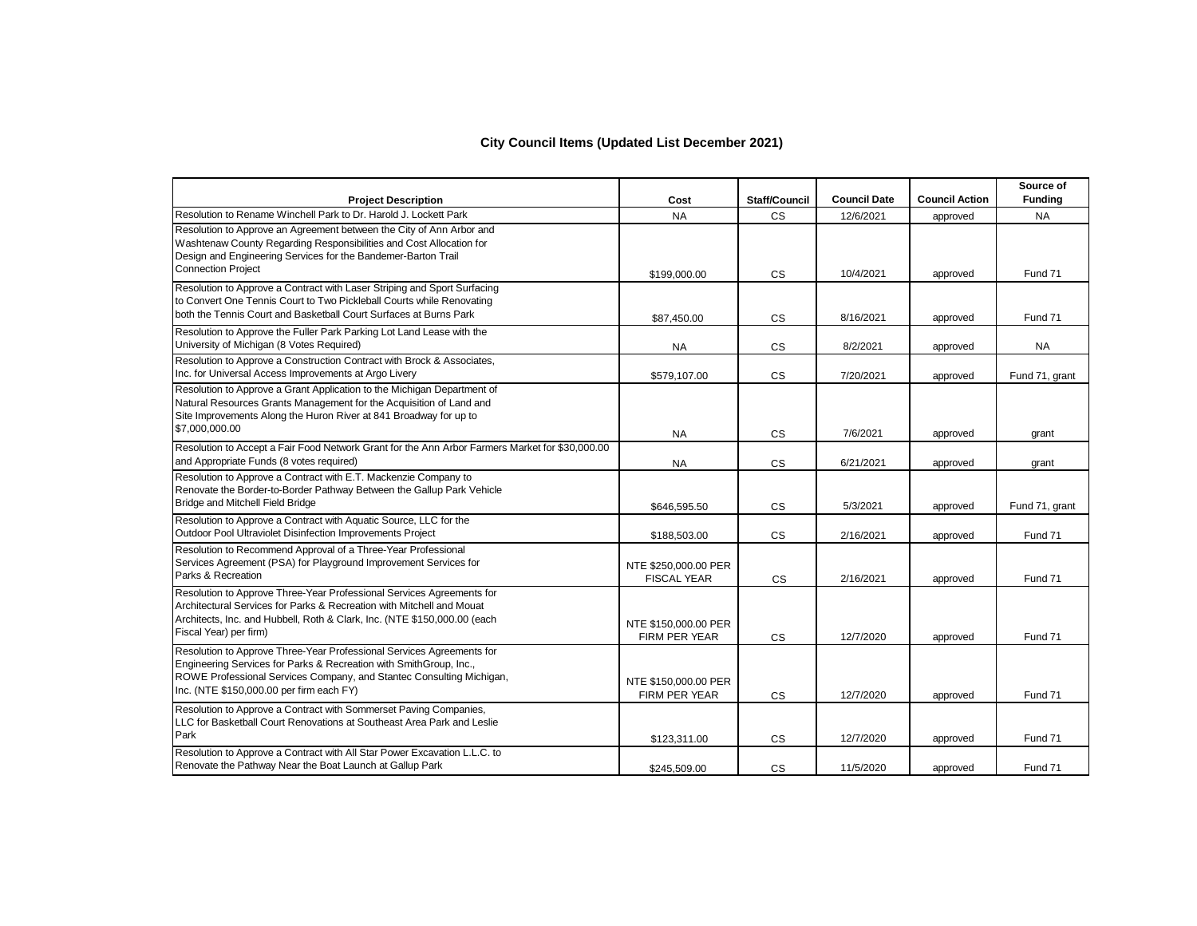## **City Council Items (Updated List December 2021)**

| <b>Project Description</b>                                                                                                                                                                                                                                      | Cost                                         | Staff/Council | <b>Council Date</b> | <b>Council Action</b> | Source of<br><b>Funding</b> |
|-----------------------------------------------------------------------------------------------------------------------------------------------------------------------------------------------------------------------------------------------------------------|----------------------------------------------|---------------|---------------------|-----------------------|-----------------------------|
| Resolution to Rename Winchell Park to Dr. Harold J. Lockett Park                                                                                                                                                                                                | <b>NA</b>                                    | <b>CS</b>     | 12/6/2021           | approved              | <b>NA</b>                   |
| Resolution to Approve an Agreement between the City of Ann Arbor and<br>Washtenaw County Regarding Responsibilities and Cost Allocation for<br>Design and Engineering Services for the Bandemer-Barton Trail<br><b>Connection Project</b>                       | \$199,000.00                                 | <b>CS</b>     | 10/4/2021           | approved              | Fund 71                     |
| Resolution to Approve a Contract with Laser Striping and Sport Surfacing<br>to Convert One Tennis Court to Two Pickleball Courts while Renovating<br>both the Tennis Court and Basketball Court Surfaces at Burns Park                                          | \$87,450.00                                  | <b>CS</b>     | 8/16/2021           | approved              | Fund 71                     |
| Resolution to Approve the Fuller Park Parking Lot Land Lease with the<br>University of Michigan (8 Votes Required)                                                                                                                                              | <b>NA</b>                                    | <b>CS</b>     | 8/2/2021            | approved              | <b>NA</b>                   |
| Resolution to Approve a Construction Contract with Brock & Associates,<br>Inc. for Universal Access Improvements at Argo Livery                                                                                                                                 | \$579,107.00                                 | <b>CS</b>     | 7/20/2021           | approved              | Fund 71, grant              |
| Resolution to Approve a Grant Application to the Michigan Department of<br>Natural Resources Grants Management for the Acquisition of Land and<br>Site Improvements Along the Huron River at 841 Broadway for up to<br>\$7,000,000.00                           | <b>NA</b>                                    | <b>CS</b>     | 7/6/2021            | approved              | grant                       |
| Resolution to Accept a Fair Food Network Grant for the Ann Arbor Farmers Market for \$30,000.00<br>and Appropriate Funds (8 votes required)                                                                                                                     | <b>NA</b>                                    | <b>CS</b>     | 6/21/2021           | approved              | grant                       |
| Resolution to Approve a Contract with E.T. Mackenzie Company to<br>Renovate the Border-to-Border Pathway Between the Gallup Park Vehicle<br>Bridge and Mitchell Field Bridge                                                                                    | \$646,595.50                                 | CS            | 5/3/2021            | approved              | Fund 71, grant              |
| Resolution to Approve a Contract with Aquatic Source, LLC for the<br>Outdoor Pool Ultraviolet Disinfection Improvements Project                                                                                                                                 | \$188,503.00                                 | <b>CS</b>     | 2/16/2021           | approved              | Fund 71                     |
| Resolution to Recommend Approval of a Three-Year Professional<br>Services Agreement (PSA) for Playground Improvement Services for<br>Parks & Recreation                                                                                                         | NTE \$250,000.00 PER<br><b>FISCAL YEAR</b>   | CS            | 2/16/2021           | approved              | Fund 71                     |
| Resolution to Approve Three-Year Professional Services Agreements for<br>Architectural Services for Parks & Recreation with Mitchell and Mouat<br>Architects, Inc. and Hubbell, Roth & Clark, Inc. (NTE \$150,000.00 (each<br>Fiscal Year) per firm)            | NTE \$150,000.00 PER<br>FIRM PER YEAR        | <b>CS</b>     | 12/7/2020           | approved              | Fund 71                     |
| Resolution to Approve Three-Year Professional Services Agreements for<br>Engineering Services for Parks & Recreation with SmithGroup, Inc.,<br>ROWE Professional Services Company, and Stantec Consulting Michigan,<br>Inc. (NTE \$150,000.00 per firm each FY) | NTE \$150,000.00 PER<br><b>FIRM PER YEAR</b> | <b>CS</b>     | 12/7/2020           | approved              | Fund 71                     |
| Resolution to Approve a Contract with Sommerset Paving Companies,<br>LLC for Basketball Court Renovations at Southeast Area Park and Leslie<br>Park                                                                                                             | \$123,311.00                                 | <b>CS</b>     | 12/7/2020           | approved              | Fund 71                     |
| Resolution to Approve a Contract with All Star Power Excavation L.L.C. to<br>Renovate the Pathway Near the Boat Launch at Gallup Park                                                                                                                           | \$245,509.00                                 | <b>CS</b>     | 11/5/2020           | approved              | Fund 71                     |